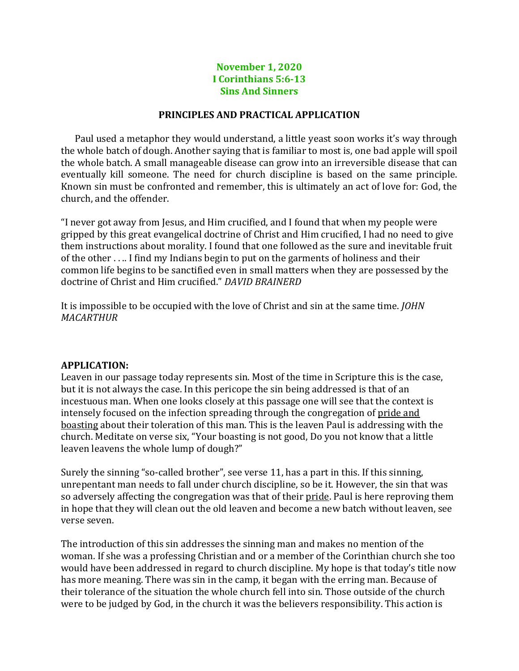## **November 1, 2020 I Corinthians 5:6-13 Sins And Sinners**

## **PRINCIPLES AND PRACTICAL APPLICATION**

Paul used a metaphor they would understand, a little yeast soon works it's way through the whole batch of dough. Another saying that is familiar to most is, one bad apple will spoil the whole batch. A small manageable disease can grow into an irreversible disease that can eventually kill someone. The need for church discipline is based on the same principle. Known sin must be confronted and remember, this is ultimately an act of love for: God, the church, and the offender.

"I never got away from Jesus, and Him crucified, and I found that when my people were gripped by this great evangelical doctrine of Christ and Him crucified, I had no need to give them instructions about morality. I found that one followed as the sure and inevitable fruit of the other . . .. I find my Indians begin to put on the garments of holiness and their common life begins to be sanctified even in small matters when they are possessed by the doctrine of Christ and Him crucified." *DAVID BRAINERD*

It is impossible to be occupied with the love of Christ and sin at the same time. *JOHN MACARTHUR*

## **APPLICATION:**

Leaven in our passage today represents sin. Most of the time in Scripture this is the case, but it is not always the case. In this pericope the sin being addressed is that of an incestuous man. When one looks closely at this passage one will see that the context is intensely focused on the infection spreading through the congregation of pride and boasting about their toleration of this man. This is the leaven Paul is addressing with the church. Meditate on verse six, "Your boasting is not good, Do you not know that a little leaven leavens the whole lump of dough?"

Surely the sinning "so-called brother", see verse 11, has a part in this. If this sinning, unrepentant man needs to fall under church discipline, so be it. However, the sin that was so adversely affecting the congregation was that of their pride. Paul is here reproving them in hope that they will clean out the old leaven and become a new batch without leaven, see verse seven.

The introduction of this sin addresses the sinning man and makes no mention of the woman. If she was a professing Christian and or a member of the Corinthian church she too would have been addressed in regard to church discipline. My hope is that today's title now has more meaning. There was sin in the camp, it began with the erring man. Because of their tolerance of the situation the whole church fell into sin. Those outside of the church were to be judged by God, in the church it was the believers responsibility. This action is